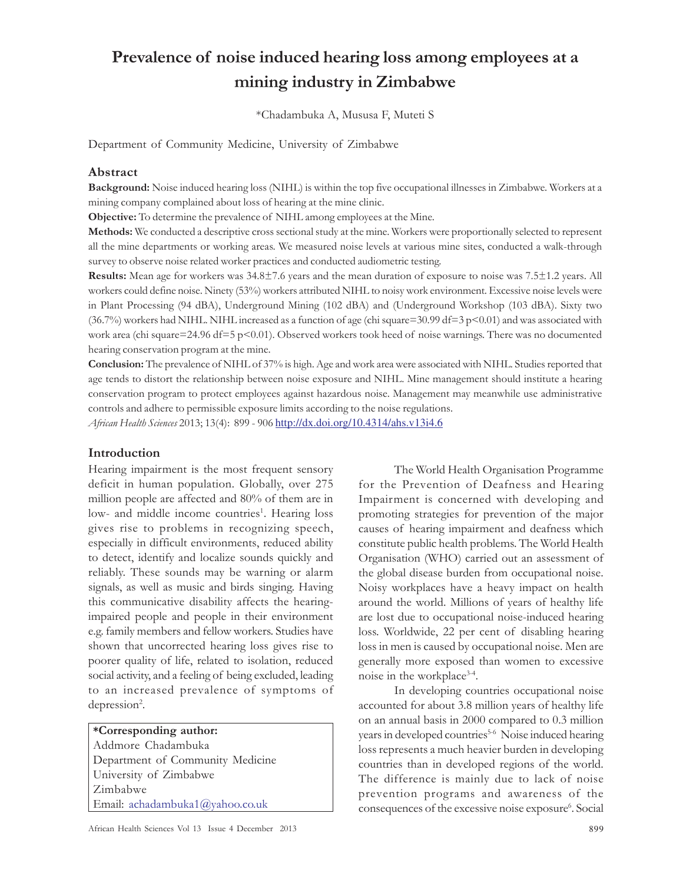# Prevalence of noise induced hearing loss among employees at a mining industry in Zimbabwe

\*Chadambuka A, Mususa F, Muteti S

Department of Community Medicine, University of Zimbabwe

#### Abstract

Background: Noise induced hearing loss (NIHL) is within the top five occupational illnesses in Zimbabwe. Workers at a mining company complained about loss of hearing at the mine clinic.

Objective: To determine the prevalence of NIHL among employees at the Mine.

Methods: We conducted a descriptive cross sectional study at the mine. Workers were proportionally selected to represent all the mine departments or working areas. We measured noise levels at various mine sites, conducted a walk-through survey to observe noise related worker practices and conducted audiometric testing.

Results: Mean age for workers was 34.8±7.6 years and the mean duration of exposure to noise was 7.5±1.2 years. All workers could define noise. Ninety (53%) workers attributed NIHL to noisy work environment. Excessive noise levels were in Plant Processing (94 dBA), Underground Mining (102 dBA) and (Underground Workshop (103 dBA). Sixty two (36.7%) workers had NIHL. NIHL increased as a function of age (chi square=30.99 df=3 p<0.01) and was associated with work area (chi square=24.96 df=5 p<0.01). Observed workers took heed of noise warnings. There was no documented hearing conservation program at the mine.

Conclusion: The prevalence of NIHL of 37% is high. Age and work area were associated with NIHL. Studies reported that age tends to distort the relationship between noise exposure and NIHL. Mine management should institute a hearing conservation program to protect employees against hazardous noise. Management may meanwhile use administrative controls and adhere to permissible exposure limits according to the noise regulations.

African Health Sciences 2013; 13(4): 899 - 906 http://dx.doi.org/10.4314/ahs.v13i4.6

### Introduction

Hearing impairment is the most frequent sensory deficit in human population. Globally, over 275 million people are affected and 80% of them are in low- and middle income countries<sup>1</sup>. Hearing loss gives rise to problems in recognizing speech, especially in difficult environments, reduced ability to detect, identify and localize sounds quickly and reliably. These sounds may be warning or alarm signals, as well as music and birds singing. Having this communicative disability affects the hearingimpaired people and people in their environment e.g. family members and fellow workers. Studies have shown that uncorrected hearing loss gives rise to poorer quality of life, related to isolation, reduced social activity, and a feeling of being excluded, leading to an increased prevalence of symptoms of depression<sup>2</sup>.

\*Corresponding author: Addmore Chadambuka Department of Community Medicine University of Zimbabwe Zimbabwe Email: achadambuka1@yahoo.co.uk

The World Health Organisation Programme for the Prevention of Deafness and Hearing Impairment is concerned with developing and promoting strategies for prevention of the major causes of hearing impairment and deafness which constitute public health problems. The World Health Organisation (WHO) carried out an assessment of the global disease burden from occupational noise. Noisy workplaces have a heavy impact on health around the world. Millions of years of healthy life are lost due to occupational noise-induced hearing loss. Worldwide, 22 per cent of disabling hearing loss in men is caused by occupational noise. Men are generally more exposed than women to excessive noise in the workplace<sup>3-4</sup>.

In developing countries occupational noise accounted for about 3.8 million years of healthy life on an annual basis in 2000 compared to 0.3 million years in developed countries<sup>5-6</sup> Noise induced hearing loss represents a much heavier burden in developing countries than in developed regions of the world. The difference is mainly due to lack of noise prevention programs and awareness of the consequences of the excessive noise exposure<sup>6</sup>. Social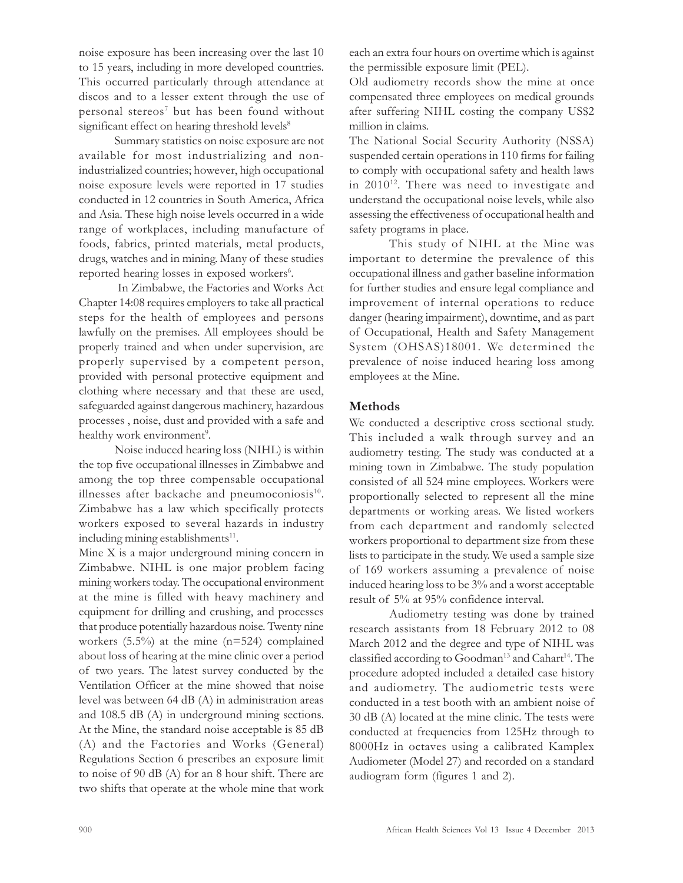noise exposure has been increasing over the last 10 to 15 years, including in more developed countries. This occurred particularly through attendance at discos and to a lesser extent through the use of personal stereos<sup>7</sup> but has been found without significant effect on hearing threshold levels<sup>8</sup>

Summary statistics on noise exposure are not available for most industrializing and nonindustrialized countries; however, high occupational noise exposure levels were reported in 17 studies conducted in 12 countries in South America, Africa and Asia. These high noise levels occurred in a wide range of workplaces, including manufacture of foods, fabrics, printed materials, metal products, drugs, watches and in mining. Many of these studies reported hearing losses in exposed workers<sup>6</sup>.

 In Zimbabwe, the Factories and Works Act Chapter 14:08 requires employers to take all practical steps for the health of employees and persons lawfully on the premises. All employees should be properly trained and when under supervision, are properly supervised by a competent person, provided with personal protective equipment and clothing where necessary and that these are used, safeguarded against dangerous machinery, hazardous processes , noise, dust and provided with a safe and healthy work environment<sup>9</sup>.

Noise induced hearing loss (NIHL) is within the top five occupational illnesses in Zimbabwe and among the top three compensable occupational illnesses after backache and pneumoconiosis $^{10}$ . Zimbabwe has a law which specifically protects workers exposed to several hazards in industry including mining establishments<sup>11</sup>.

Mine X is a major underground mining concern in Zimbabwe. NIHL is one major problem facing mining workers today. The occupational environment at the mine is filled with heavy machinery and equipment for drilling and crushing, and processes that produce potentially hazardous noise. Twenty nine workers (5.5%) at the mine (n=524) complained about loss of hearing at the mine clinic over a period of two years. The latest survey conducted by the Ventilation Officer at the mine showed that noise level was between 64 dB (A) in administration areas and 108.5 dB (A) in underground mining sections. At the Mine, the standard noise acceptable is 85 dB (A) and the Factories and Works (General) Regulations Section 6 prescribes an exposure limit to noise of 90 dB (A) for an 8 hour shift. There are two shifts that operate at the whole mine that work

each an extra four hours on overtime which is against the permissible exposure limit (PEL).

Old audiometry records show the mine at once compensated three employees on medical grounds after suffering NIHL costing the company US\$2 million in claims.

The National Social Security Authority (NSSA) suspended certain operations in 110 firms for failing to comply with occupational safety and health laws in 2010<sup>12</sup>. There was need to investigate and understand the occupational noise levels, while also assessing the effectiveness of occupational health and safety programs in place.

This study of NIHL at the Mine was important to determine the prevalence of this occupational illness and gather baseline information for further studies and ensure legal compliance and improvement of internal operations to reduce danger (hearing impairment), downtime, and as part of Occupational, Health and Safety Management System (OHSAS)18001. We determined the prevalence of noise induced hearing loss among employees at the Mine.

### Methods

We conducted a descriptive cross sectional study. This included a walk through survey and an audiometry testing. The study was conducted at a mining town in Zimbabwe. The study population consisted of all 524 mine employees. Workers were proportionally selected to represent all the mine departments or working areas. We listed workers from each department and randomly selected workers proportional to department size from these lists to participate in the study. We used a sample size of 169 workers assuming a prevalence of noise induced hearing loss to be 3% and a worst acceptable result of 5% at 95% confidence interval.

Audiometry testing was done by trained research assistants from 18 February 2012 to 08 March 2012 and the degree and type of NIHL was classified according to Goodman<sup>13</sup> and Cahart<sup>14</sup>. The procedure adopted included a detailed case history and audiometry. The audiometric tests were conducted in a test booth with an ambient noise of 30 dB (A) located at the mine clinic. The tests were conducted at frequencies from 125Hz through to 8000Hz in octaves using a calibrated Kamplex Audiometer (Model 27) and recorded on a standard audiogram form (figures 1 and 2).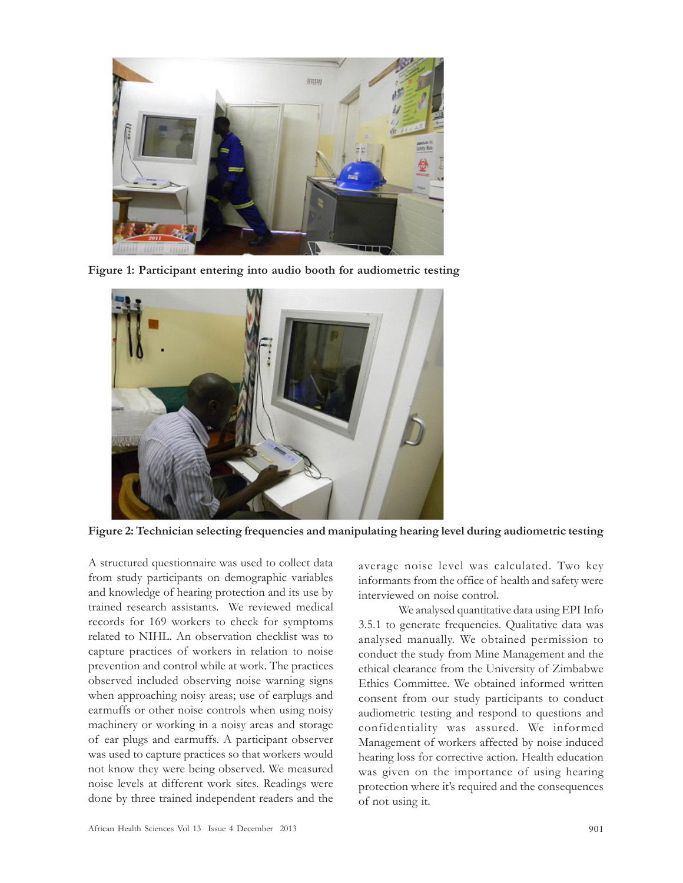

Figure 1: Participant entering into audio booth for audiometric testing



Figure 2: Technician selecting frequencies and manipulating hearing level during audiometric testing

A structured questionnaire was used to collect data from study participants on demographic variables and knowledge of hearing protection and its use by trained research assistants. We reviewed medical records for 169 workers to check for symptoms related to NIHL. An observation checklist was to capture practices of workers in relation to noise prevention and control while at work. The practices observed included observing noise warning signs when approaching noisy areas; use of earplugs and earmuffs or other noise controls when using noisy machinery or working in a noisy areas and storage of ear plugs and earmuffs. A participant observer was used to capture practices so that workers would not know they were being observed. We measured noise levels at different work sites. Readings were done by three trained independent readers and the

average noise level was calculated. Two key informants from the office of health and safety were interviewed on noise control.

We analysed quantitative data using EPI Info 3.5.1 to generate frequencies. Qualitative data was analysed manually. We obtained permission to conduct the study from Mine Management and the ethical clearance from the University of Zimbabwe Ethics Committee. We obtained informed written consent from our study participants to conduct audiometric testing and respond to questions and confidentiality was assured. We informed Management of workers affected by noise induced hearing loss for corrective action. Health education was given on the importance of using hearing protection where it's required and the consequences of not using it.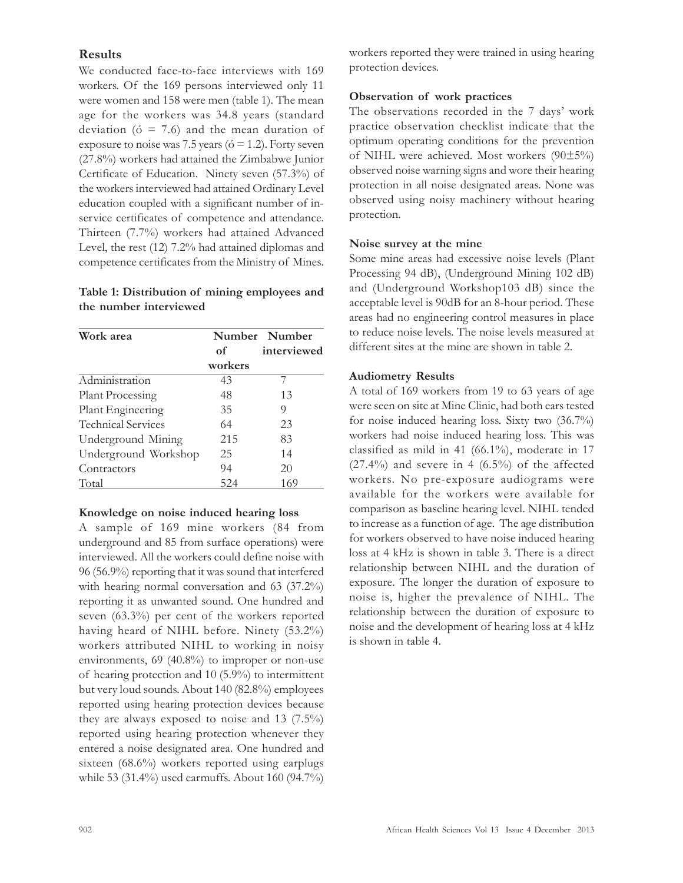# Results

We conducted face-to-face interviews with 169 workers. Of the 169 persons interviewed only 11 were women and 158 were men (table 1). The mean age for the workers was 34.8 years (standard deviation ( $\acute{o}$  = 7.6) and the mean duration of exposure to noise was 7.5 years ( $\acute{o}$  = 1.2). Forty seven (27.8%) workers had attained the Zimbabwe Junior Certificate of Education. Ninety seven (57.3%) of the workers interviewed had attained Ordinary Level education coupled with a significant number of inservice certificates of competence and attendance. Thirteen (7.7%) workers had attained Advanced Level, the rest (12) 7.2% had attained diplomas and competence certificates from the Ministry of Mines.

## Table 1: Distribution of mining employees and the number interviewed

| Work area                 |         | Number Number |
|---------------------------|---------|---------------|
|                           | of      | interviewed   |
|                           | workers |               |
| Administration            | 43      |               |
| <b>Plant Processing</b>   | 48      | 13            |
| Plant Engineering         | 35      | 9             |
| <b>Technical Services</b> | 64      | 23            |
| Underground Mining        | 215     | 83            |
| Underground Workshop      | 25      | 14            |
| Contractors               | 94      | 20            |
| Total                     | 524     | 169           |

#### Knowledge on noise induced hearing loss

A sample of 169 mine workers (84 from underground and 85 from surface operations) were interviewed. All the workers could define noise with 96 (56.9%) reporting that it was sound that interfered with hearing normal conversation and 63 (37.2%) reporting it as unwanted sound. One hundred and seven (63.3%) per cent of the workers reported having heard of NIHL before. Ninety (53.2%) workers attributed NIHL to working in noisy environments, 69 (40.8%) to improper or non-use of hearing protection and 10 (5.9%) to intermittent but very loud sounds. About 140 (82.8%) employees reported using hearing protection devices because they are always exposed to noise and 13 (7.5%) reported using hearing protection whenever they entered a noise designated area. One hundred and sixteen (68.6%) workers reported using earplugs while 53 (31.4%) used earmuffs. About 160 (94.7%) workers reported they were trained in using hearing protection devices.

# Observation of work practices

The observations recorded in the 7 days' work practice observation checklist indicate that the optimum operating conditions for the prevention of NIHL were achieved. Most workers (90±5%) observed noise warning signs and wore their hearing protection in all noise designated areas. None was observed using noisy machinery without hearing protection.

# Noise survey at the mine

Some mine areas had excessive noise levels (Plant Processing 94 dB), (Underground Mining 102 dB) and (Underground Workshop103 dB) since the acceptable level is 90dB for an 8-hour period. These areas had no engineering control measures in place to reduce noise levels. The noise levels measured at different sites at the mine are shown in table 2.

# Audiometry Results

A total of 169 workers from 19 to 63 years of age were seen on site at Mine Clinic, had both ears tested for noise induced hearing loss. Sixty two (36.7%) workers had noise induced hearing loss. This was classified as mild in 41 (66.1%), moderate in 17  $(27.4\%)$  and severe in 4  $(6.5\%)$  of the affected workers. No pre-exposure audiograms were available for the workers were available for comparison as baseline hearing level. NIHL tended to increase as a function of age. The age distribution for workers observed to have noise induced hearing loss at 4 kHz is shown in table 3. There is a direct relationship between NIHL and the duration of exposure. The longer the duration of exposure to noise is, higher the prevalence of NIHL. The relationship between the duration of exposure to noise and the development of hearing loss at 4 kHz is shown in table 4.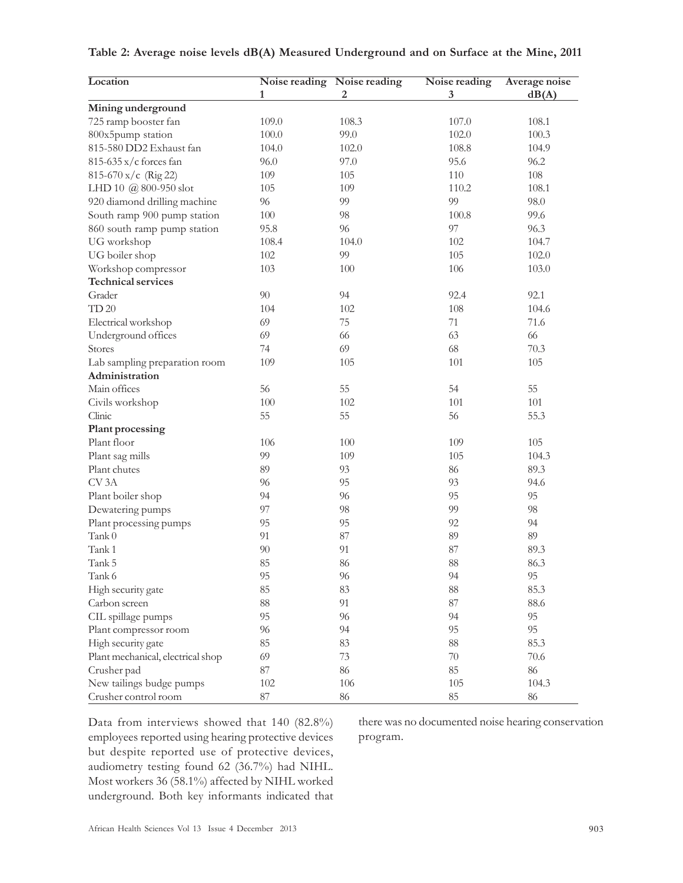| Location                          |        | Noise reading Noise reading | Noise reading | Average noise |
|-----------------------------------|--------|-----------------------------|---------------|---------------|
|                                   | 1      | 2                           | 3             | dB(A)         |
| Mining underground                |        |                             |               |               |
| 725 ramp booster fan              | 109.0  | 108.3                       | 107.0         | 108.1         |
| 800x5pump station                 | 100.0  | 99.0                        | 102.0         | 100.3         |
| 815-580 DD2 Exhaust fan           | 104.0  | 102.0                       | 108.8         | 104.9         |
| 815-635 x/c forces fan            | 96.0   | 97.0                        | 95.6          | 96.2          |
| $815-670 \text{ x/c}$ (Rig 22)    | 109    | 105                         | 110           | 108           |
| LHD 10 @ 800-950 slot             | 105    | 109                         | 110.2         | 108.1         |
| 920 diamond drilling machine      | 96     | 99                          | 99            | 98.0          |
| South ramp 900 pump station       | 100    | 98                          | 100.8         | 99.6          |
| 860 south ramp pump station       | 95.8   | 96                          | 97            | 96.3          |
| UG workshop                       | 108.4  | 104.0                       | 102           | 104.7         |
| UG boiler shop                    | 102    | 99                          | 105           | 102.0         |
| Workshop compressor               | 103    | 100                         | 106           | 103.0         |
| <b>Technical services</b>         |        |                             |               |               |
| Grader                            | 90     | 94                          | 92.4          | 92.1          |
| <b>TD 20</b>                      | 104    | 102                         | 108           | 104.6         |
| Electrical workshop               | 69     | 75                          | 71            | 71.6          |
| Underground offices               | 69     | 66                          | 63            | 66            |
| Stores                            | 74     | 69                          | 68            | 70.3          |
| Lab sampling preparation room     | 109    | 105                         | 101           | 105           |
| Administration                    |        |                             |               |               |
| Main offices                      | 56     | 55                          | 54            | 55            |
| Civils workshop                   | 100    | 102                         | 101           | 101           |
| Clinic                            | 55     | 55                          | 56            | 55.3          |
| Plant processing                  |        |                             |               |               |
| Plant floor                       | 106    | 100                         | 109           | 105           |
| Plant sag mills                   | 99     | 109                         | 105           | 104.3         |
| Plant chutes                      | 89     | 93                          | 86            | 89.3          |
| CV <sub>3</sub> A                 | 96     | 95                          | 93            | 94.6          |
| Plant boiler shop                 | 94     | 96                          | 95            | 95            |
| Dewatering pumps                  | 97     | 98                          | 99            | 98            |
| Plant processing pumps            | 95     | 95                          | 92            | 94            |
| $\text{Tank } 0$                  | 91     | 87                          | 89            | 89            |
| Tank 1                            | 90     | 91                          | 87            | 89.3          |
| Tank 5                            | 85     | 86                          | 88            | 86.3          |
| Tank 6                            | 95     | 96                          | 94            | 95            |
| High security gate                | 85     | 83                          | 88            | 85.3          |
| Carbon screen                     | $88\,$ | 91                          | 87            | 88.6          |
| CIL spillage pumps                | 95     | 96                          | 94            | 95            |
| Plant compressor room             | 96     | 94                          | 95            | 95            |
| High security gate                | 85     | 83                          | $88\,$        | 85.3          |
| Plant mechanical, electrical shop | 69     | 73                          | 70            | $70.6\,$      |
| Crusher pad                       | $87\,$ | 86                          | 85            | $86\,$        |
| New tailings budge pumps          | 102    | 106                         | $105\,$       | 104.3         |
| Crusher control room              | 87     | 86                          | 85            | 86            |

### Table 2: Average noise levels dB(A) Measured Underground and on Surface at the Mine, 2011

Data from interviews showed that 140 (82.8%) employees reported using hearing protective devices but despite reported use of protective devices, audiometry testing found 62 (36.7%) had NIHL. Most workers 36 (58.1%) affected by NIHL worked underground. Both key informants indicated that

there was no documented noise hearing conservation program.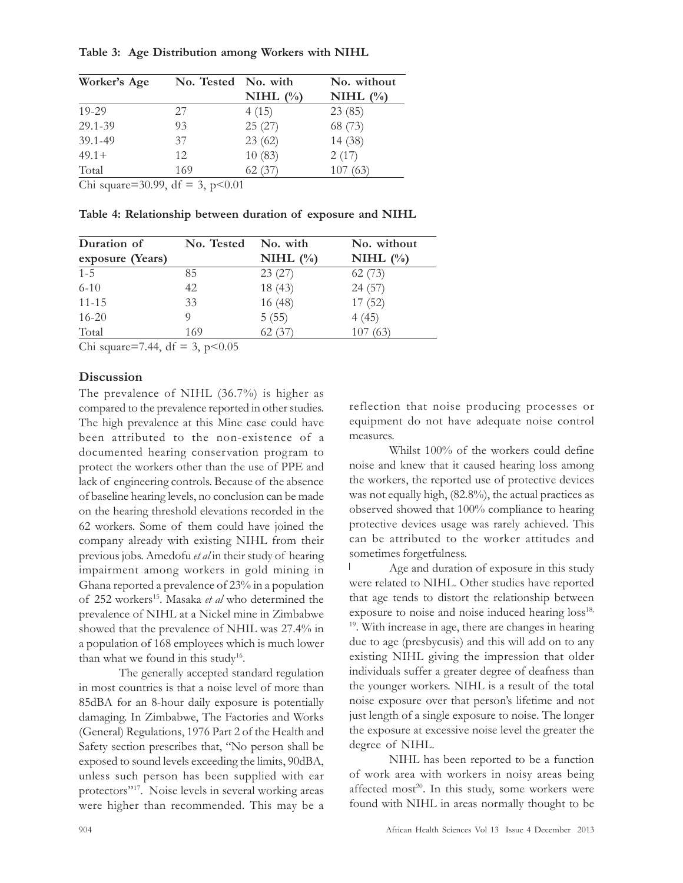#### Table 3: Age Distribution among Workers with NIHL

| Worker's Age | No. Tested No. with |             | No. without |
|--------------|---------------------|-------------|-------------|
|              |                     | NIHL $(\%)$ | NIHL $(\%$  |
| $19 - 29$    | 27                  | 4(15)       | 23(85)      |
| 29.1-39      | 93                  | 25(27)      | 68 (73)     |
| 39.1-49      | 37                  | 23(62)      | 14 (38)     |
| $49.1 +$     | 12                  | 10(83)      | 2(17)       |
| Total        | 169                 | 62(37)      | 107(63)     |

Chi square=30.99, df = 3,  $p<0.01$ 

Table 4: Relationship between duration of exposure and NIHL

| Duration of      | No. Tested | No. with    | No. without |
|------------------|------------|-------------|-------------|
| exposure (Years) |            | NIHL $(\%)$ | NIHL $(\%)$ |
| $1 - 5$          | 85         | 23(27)      | 62(73)      |
| $6 - 10$         | 42         | 18(43)      | 24(57)      |
| $11 - 15$        | 33         | 16(48)      | 17(52)      |
| $16 - 20$        |            | 5(55)       | 4(45)       |
| Total            | 169        | 62(3)       | (63<br>107  |

Chi square=7.44, df = 3,  $p<0.05$ 

## **Discussion**

The prevalence of NIHL (36.7%) is higher as compared to the prevalence reported in other studies. The high prevalence at this Mine case could have been attributed to the non-existence of a documented hearing conservation program to protect the workers other than the use of PPE and lack of engineering controls. Because of the absence of baseline hearing levels, no conclusion can be made on the hearing threshold elevations recorded in the 62 workers. Some of them could have joined the company already with existing NIHL from their previous jobs. Amedofu et al in their study of hearing impairment among workers in gold mining in Ghana reported a prevalence of 23% in a population of 252 workers<sup>15</sup>. Masaka et al who determined the prevalence of NIHL at a Nickel mine in Zimbabwe showed that the prevalence of NHIL was 27.4% in a population of 168 employees which is much lower than what we found in this study<sup>16</sup>.

The generally accepted standard regulation in most countries is that a noise level of more than 85dBA for an 8-hour daily exposure is potentially damaging. In Zimbabwe, The Factories and Works (General) Regulations, 1976 Part 2 of the Health and Safety section prescribes that, "No person shall be exposed to sound levels exceeding the limits, 90dBA, unless such person has been supplied with ear protectors"<sup>17</sup>. Noise levels in several working areas were higher than recommended. This may be a reflection that noise producing processes or equipment do not have adequate noise control measures.

Whilst 100% of the workers could define noise and knew that it caused hearing loss among the workers, the reported use of protective devices was not equally high, (82.8%), the actual practices as observed showed that 100% compliance to hearing protective devices usage was rarely achieved. This can be attributed to the worker attitudes and sometimes forgetfulness.

Age and duration of exposure in this study were related to NIHL. Other studies have reported that age tends to distort the relationship between exposure to noise and noise induced hearing loss<sup>18,</sup> <sup>19</sup>. With increase in age, there are changes in hearing due to age (presbycusis) and this will add on to any existing NIHL giving the impression that older individuals suffer a greater degree of deafness than the younger workers. NIHL is a result of the total noise exposure over that person's lifetime and not just length of a single exposure to noise. The longer the exposure at excessive noise level the greater the degree of NIHL.

NIHL has been reported to be a function of work area with workers in noisy areas being affected most<sup>20</sup>. In this study, some workers were found with NIHL in areas normally thought to be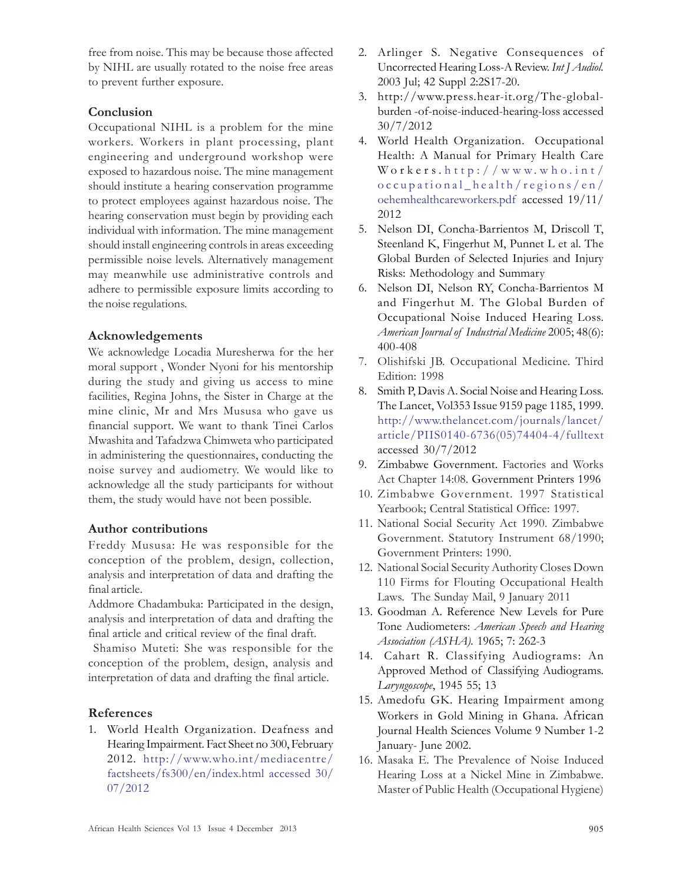free from noise. This may be because those affected by NIHL are usually rotated to the noise free areas to prevent further exposure.

## **Conclusion**

Occupational NIHL is a problem for the mine workers. Workers in plant processing, plant engineering and underground workshop were exposed to hazardous noise. The mine management should institute a hearing conservation programme to protect employees against hazardous noise. The hearing conservation must begin by providing each individual with information. The mine management should install engineering controls in areas exceeding permissible noise levels. Alternatively management may meanwhile use administrative controls and adhere to permissible exposure limits according to the noise regulations.

## Acknowledgements

We acknowledge Locadia Muresherwa for the her moral support , Wonder Nyoni for his mentorship during the study and giving us access to mine facilities, Regina Johns, the Sister in Charge at the mine clinic, Mr and Mrs Mususa who gave us financial support. We want to thank Tinei Carlos Mwashita and Tafadzwa Chimweta who participated in administering the questionnaires, conducting the noise survey and audiometry. We would like to acknowledge all the study participants for without them, the study would have not been possible.

### Author contributions

Freddy Mususa: He was responsible for the conception of the problem, design, collection, analysis and interpretation of data and drafting the final article.

Addmore Chadambuka: Participated in the design, analysis and interpretation of data and drafting the final article and critical review of the final draft.

 Shamiso Muteti: She was responsible for the conception of the problem, design, analysis and interpretation of data and drafting the final article.

# References

1. World Health Organization. Deafness and Hearing Impairment. Fact Sheet no 300, February 2012. http://www.who.int/mediacentre/ factsheets/fs300/en/index.html accessed 30/ 07/2012

- 2. Arlinger S. Negative Consequences of Uncorrected Hearing Loss-A Review. Int J Audiol. 2003 Jul; 42 Suppl 2:2S17-20.
- 3. http://www.press.hear-it.org/The-globalburden -of-noise-induced-hearing-loss accessed 30/7/2012
- 4. World Health Organization. Occupational Health: A Manual for Primary Health Care  $W$  or  $k$  ers. http://www.who.int/ occupational\_health/regions/en/ oehemhealthcareworkers.pdf accessed 19/11/ 2012
- 5. Nelson DI, Concha-Barrientos M, Driscoll T, Steenland K, Fingerhut M, Punnet L et al. The Global Burden of Selected Injuries and Injury Risks: Methodology and Summary
- 6. Nelson DI, Nelson RY, Concha-Barrientos M and Fingerhut M. The Global Burden of Occupational Noise Induced Hearing Loss. American Journal of Industrial Medicine 2005; 48(6): 400-408
- 7. Olishifski JB. Occupational Medicine. Third Edition: 1998
- 8. Smith P, Davis A. Social Noise and Hearing Loss. The Lancet, Vol353 Issue 9159 page 1185, 1999. http://www.thelancet.com/journals/lancet/ article/PIIS0140-6736(05)74404-4/fulltext accessed 30/7/2012
- 9. Zimbabwe Government. Factories and Works Act Chapter 14:08. Government Printers 1996
- 10. Zimbabwe Government. 1997 Statistical Yearbook; Central Statistical Office: 1997.
- 11. National Social Security Act 1990. Zimbabwe Government. Statutory Instrument 68/1990; Government Printers: 1990.
- 12. National Social Security Authority Closes Down 110 Firms for Flouting Occupational Health Laws. The Sunday Mail, 9 January 2011
- 13. Goodman A. Reference New Levels for Pure Tone Audiometers: American Speech and Hearing Association (ASHA). 1965; 7: 262-3
- 14. Cahart R. Classifying Audiograms: An Approved Method of Classifying Audiograms. Laryngoscope, 1945 55; 13
- 15. Amedofu GK. Hearing Impairment among Workers in Gold Mining in Ghana. African Journal Health Sciences Volume 9 Number 1-2 January- June 2002.
- 16. Masaka E. The Prevalence of Noise Induced Hearing Loss at a Nickel Mine in Zimbabwe. Master of Public Health (Occupational Hygiene)